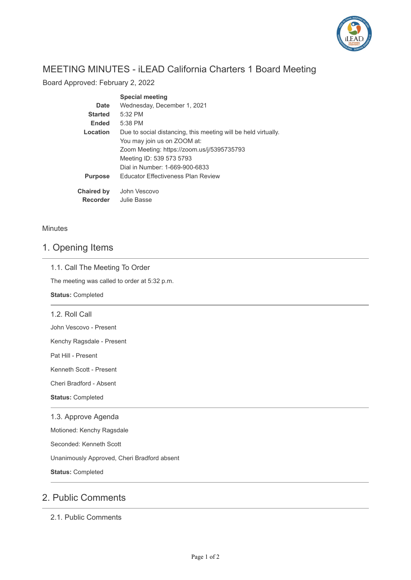

# MEETING MINUTES - iLEAD California Charters 1 Board Meeting

Board Approved: February 2, 2022

|                   | <b>Special meeting</b>                                         |
|-------------------|----------------------------------------------------------------|
| Date              | Wednesday, December 1, 2021                                    |
| <b>Started</b>    | $5:32$ PM                                                      |
| <b>Ended</b>      | $5:38$ PM                                                      |
| Location          | Due to social distancing, this meeting will be held virtually. |
|                   | You may join us on ZOOM at:                                    |
|                   | Zoom Meeting: https://zoom.us/j/5395735793                     |
|                   | Meeting ID: 539 573 5793                                       |
|                   | Dial in Number: 1-669-900-6833                                 |
| <b>Purpose</b>    | <b>Educator Effectiveness Plan Review</b>                      |
| <b>Chaired by</b> | John Vescovo                                                   |
| <b>Recorder</b>   | Julie Basse                                                    |

#### **Minutes**

### 1. Opening Items

#### 1.1. Call The Meeting To Order

The meeting was called to order at 5:32 p.m.

**Status:** Completed

1.2. Roll Call

John Vescovo - Present

Kenchy Ragsdale - Present

Pat Hill - Present

Kenneth Scott - Present

Cheri Bradford - Absent

**Status:** Completed

### 1.3. Approve Agenda

Motioned: Kenchy Ragsdale

Seconded: Kenneth Scott

Unanimously Approved, Cheri Bradford absent

**Status:** Completed

## 2. Public Comments

2.1. Public Comments